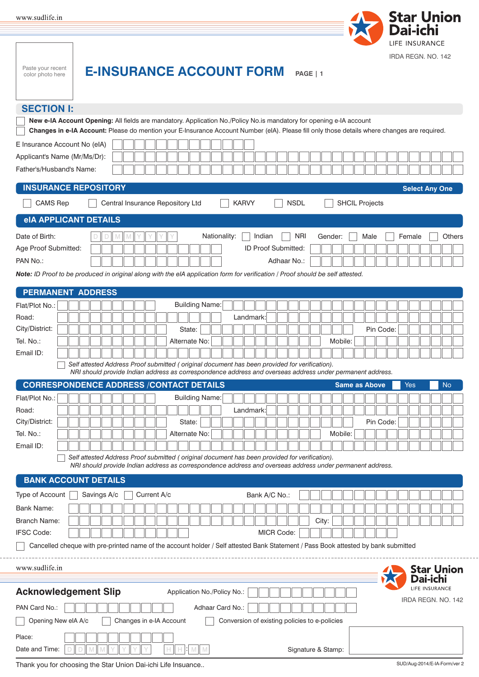| www.sudlife.in |  |
|----------------|--|
|                |  |



| LIFE INSURANCE<br>IRDA REGN, NO. 142<br>Paste your recent<br><b>E-INSURANCE ACCOUNT FORM</b><br>PAGE   1<br>color photo here                                                                                                                                                                                                                                                                                                                                |                                         |
|-------------------------------------------------------------------------------------------------------------------------------------------------------------------------------------------------------------------------------------------------------------------------------------------------------------------------------------------------------------------------------------------------------------------------------------------------------------|-----------------------------------------|
| <b>SECTION I:</b><br>New e-IA Account Opening: All fields are mandatory. Application No./Policy No.is mandatory for opening e-IA account<br>Changes in e-IA Account: Please do mention your E-Insurance Account Number (eIA). Please fill only those details where changes are required.<br>E Insurance Account No (eIA)<br>Applicant's Name (Mr/Ms/Dr):                                                                                                    |                                         |
| Father's/Husband's Name:<br><b>INSURANCE REPOSITORY</b><br><b>Select Any One</b><br><b>NSDL</b><br><b>CAMS Rep</b><br>Central Insurance Repository Ltd<br><b>KARVY</b><br><b>SHCIL Projects</b>                                                                                                                                                                                                                                                             |                                         |
| <b>eIA APPLICANT DETAILS</b><br>Nationality:<br><b>NRI</b><br>Indian<br>Date of Birth:<br>Gender:<br>Male<br>Female<br>M<br>ID Proof Submitted:<br>Age Proof Submitted:<br>PAN No.:<br>Adhaar No.:<br>Note: ID Proof to be produced in original along with the eIA application form for verification / Proof should be self attested.                                                                                                                       | Others                                  |
| <b>PERMANENT ADDRESS</b><br><b>Building Name:</b><br>Flat/Plot No.:<br>Road:<br>Landmark:<br>City/District:<br>State:<br>Pin Code:<br>Tel. No.:<br>Alternate No:<br>Mobile:<br>Email ID:<br>Self attested Address Proof submitted (original document has been provided for verification).<br>NRI should provide Indian address as correspondence address and overseas address under permanent address.                                                      |                                         |
| <b>CORRESPONDENCE ADDRESS /CONTACT DETAILS</b><br><b>Same as Above</b><br>Yes<br><b>Building Name:</b><br>Flat/Plot No.:<br>Road:<br>Landmark:<br>City/District:<br>Pin Code:<br>State:<br>Tel. No.:<br>Alternate No:<br>Mobile:<br>Email ID:<br>Self attested Address Proof submitted (original document has been provided for verification).<br>NRI should provide Indian address as correspondence address and overseas address under permanent address. | <b>No</b>                               |
| <b>BANK ACCOUNT DETAILS</b><br>Current A/c<br>Type of Account<br>Savings A/c<br>Bank A/C No.:<br>Bank Name:<br><b>Branch Name:</b><br>City:<br><b>IFSC Code:</b><br><b>MICR Code:</b><br>Cancelled cheque with pre-printed name of the account holder / Self attested Bank Statement / Pass Book attested by bank submitted                                                                                                                                 |                                         |
| www.sudlife.in<br><b>Dai-ichi</b><br>LIFE INSURANCE<br><b>Acknowledgement Slip</b><br>Application No./Policy No.:<br>PAN Card No.:<br>Adhaar Card No.:<br>Changes in e-IA Account<br>Conversion of existing policies to e-policies<br>Opening New eIA A/c<br>Place:<br>Date and Time:                                                                                                                                                                       | <b>Star Union</b><br>IRDA REGN. NO. 142 |

Thank you for choosing the Star Union Dai-ichi Life Insuance.. SUD/Aug-2014/E-IA-Form/ver 2